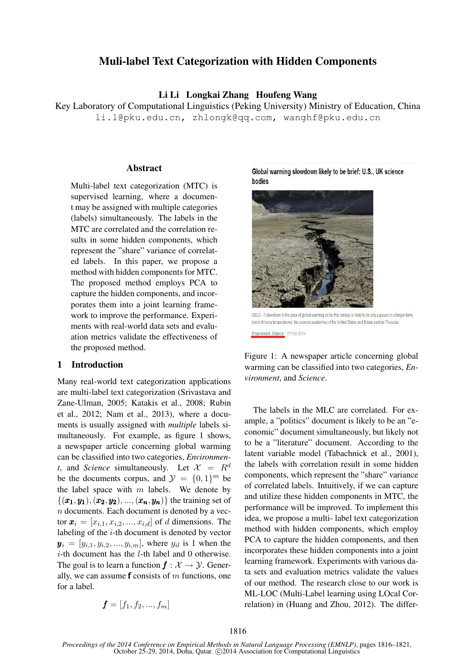# Muli-label Text Categorization with Hidden Components

## Li Li Longkai Zhang Houfeng Wang

Key Laboratory of Computational Linguistics (Peking University) Ministry of Education, China li.l@pku.edu.cn, zhlongk@qq.com, wanghf@pku.edu.cn

#### **Abstract**

Multi-label text categorization (MTC) is supervised learning, where a document may be assigned with multiple categories (labels) simultaneously. The labels in the MTC are correlated and the correlation results in some hidden components, which represent the "share" variance of correlated labels. In this paper, we propose a method with hidden components for MTC. The proposed method employs PCA to capture the hidden components, and incorporates them into a joint learning framework to improve the performance. Experiments with real-world data sets and evaluation metrics validate the effectiveness of the proposed method.

## 1 Introduction

Many real-world text categorization applications are multi-label text categorization (Srivastava and Zane-Ulman, 2005; Katakis et al., 2008; Rubin et al., 2012; Nam et al., 2013), where a documents is usually assigned with *multiple* labels simultaneously. For example, as figure 1 shows, a newspaper article concerning global warming can be classified into two categories, *Environment*, and *Science* simultaneously. Let  $\mathcal{X} = R^d$ be the documents corpus, and  $\mathcal{Y} = \{0, 1\}^m$  be the label space with  $m$  labels. We denote by  $\{(x_1,y_1),(x_2,y_2),...,(x_n,y_n)\}\)$  the training set of n documents. Each document is denoted by a vector  $x_i = [x_{i,1}, x_{i,2}, ..., x_{i,d}]$  of d dimensions. The labeling of the i-th document is denoted by vector  $y_i = [y_{i,1}, y_{i,2}, ..., y_{i,m}]$ , where  $y_{i,j}$  is 1 when the  $i$ -th document has the  $l$ -th label and 0 otherwise. The goal is to learn a function  $f : \mathcal{X} \to \mathcal{Y}$ . Generally, we can assume  $f$  consists of  $m$  functions, one for a label.

$$
\boldsymbol{f} = [f_1, f_2, ..., f_m]
$$

Global warming slowdown likely to be brief: U.S., UK science bodies



OSLO - A slowdown in the pace of global warming so far this century is likely to be only a pause in a longer-term trend of rising temperatures, the science academies of the United States and Britain said on Thursday Environment, Science 27 Feb 2014



The labels in the MLC are correlated. For example, a "politics" document is likely to be an "economic" document simultaneously, but likely not to be a "literature" document. According to the latent variable model (Tabachnick et al., 2001), the labels with correlation result in some hidden components, which represent the "share" variance of correlated labels. Intuitively, if we can capture and utilize these hidden components in MTC, the performance will be improved. To implement this idea, we propose a multi- label text categorization method with hidden components, which employ PCA to capture the hidden components, and then incorporates these hidden components into a joint learning framework. Experiments with various data sets and evaluation metrics validate the values of our method. The research close to our work is ML-LOC (Multi-Label learning using LOcal Correlation) in (Huang and Zhou, 2012). The differ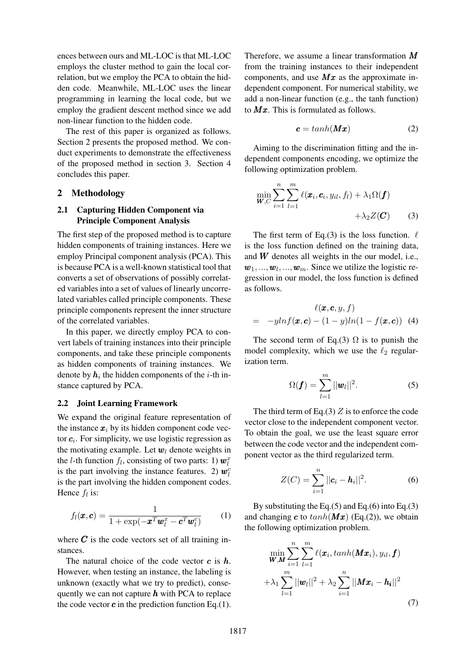ences between ours and ML-LOC is that ML-LOC employs the cluster method to gain the local correlation, but we employ the PCA to obtain the hidden code. Meanwhile, ML-LOC uses the linear programming in learning the local code, but we employ the gradient descent method since we add non-linear function to the hidden code.

The rest of this paper is organized as follows. Section 2 presents the proposed method. We conduct experiments to demonstrate the effectiveness of the proposed method in section 3. Section 4 concludes this paper.

#### 2 Methodology

## 2.1 Capturing Hidden Component via Principle Component Analysis

The first step of the proposed method is to capture hidden components of training instances. Here we employ Principal component analysis (PCA). This is because PCA is a well-known statistical tool that converts a set of observations of possibly correlated variables into a set of values of linearly uncorrelated variables called principle components. These principle components represent the inner structure of the correlated variables.

In this paper, we directly employ PCA to convert labels of training instances into their principle components, and take these principle components as hidden components of training instances. We denote by  $h_i$  the hidden components of the *i*-th instance captured by PCA.

## 2.2 Joint Learning Framework

We expand the original feature representation of the instance  $x_i$  by its hidden component code vector  $c_i$ . For simplicity, we use logistic regression as the motivating example. Let  $w_l$  denote weights in the *l*-th function  $f_l$ , consisting of two parts: 1)  $\mathbf{w}_l^x$ is the part involving the instance features. 2)  $w_l^c$ is the part involving the hidden component codes. Hence  $f_l$  is:

$$
f_l(\boldsymbol{x}, \boldsymbol{c}) = \frac{1}{1 + \exp(-\boldsymbol{x}^T \boldsymbol{w}_l^x - \boldsymbol{c}^T \boldsymbol{w}_l^c)}
$$
(1)

where  $C$  is the code vectors set of all training instances.

The natural choice of the code vector  $c$  is  $h$ . However, when testing an instance, the labeling is unknown (exactly what we try to predict), consequently we can not capture  $h$  with PCA to replace the code vector  $c$  in the prediction function Eq.(1).

Therefore, we assume a linear transformation  $M$ from the training instances to their independent components, and use  $Mx$  as the approximate independent component. For numerical stability, we add a non-linear function (e.g., the tanh function) to  $Mx$ . This is formulated as follows.

$$
c = \tanh(Mx) \tag{2}
$$

Aiming to the discrimination fitting and the independent components encoding, we optimize the following optimization problem.

$$
\min_{\boldsymbol{W},C} \sum_{i=1}^{n} \sum_{l=1}^{m} \ell(\boldsymbol{x}_i,\boldsymbol{c}_i,y_{il},f_l) + \lambda_1 \Omega(\boldsymbol{f}) + \lambda_2 Z(\boldsymbol{C}) \tag{3}
$$

The first term of Eq.(3) is the loss function.  $\ell$ is the loss function defined on the training data, and  $W$  denotes all weights in the our model, i.e.,  $w_1, ..., w_l, ..., w_m$ . Since we utilize the logistic regression in our model, the loss function is defined as follows.

$$
\ell(\boldsymbol{x}, \boldsymbol{c}, y, f)
$$
  
=  $-yln f(\boldsymbol{x}, \boldsymbol{c}) - (1 - y)ln(1 - f(\boldsymbol{x}, \boldsymbol{c}))$  (4)

The second term of Eq.(3)  $\Omega$  is to punish the model complexity, which we use the  $\ell_2$  regularization term.

$$
\Omega(\bm{f}) = \sum_{l=1}^{m} ||\bm{w}_l||^2.
$$
 (5)

The third term of Eq.(3)  $Z$  is to enforce the code vector close to the independent component vector. To obtain the goal, we use the least square error between the code vector and the independent component vector as the third regularized term.

$$
Z(C) = \sum_{i=1}^{n} ||\mathbf{c}_i - \mathbf{h}_i||^2.
$$
 (6)

By substituting the Eq. $(5)$  and Eq. $(6)$  into Eq. $(3)$ and changing c to  $tanh(Mx)$  (Eq.(2)), we obtain the following optimization problem.

$$
\min_{\boldsymbol{W},\boldsymbol{M}} \sum_{i=1}^{n} \sum_{l=1}^{m} \ell(\boldsymbol{x}_i, \tanh(\boldsymbol{M}\boldsymbol{x}_i), y_{il}, \boldsymbol{f})
$$

$$
+ \lambda_1 \sum_{l=1}^{m} ||\boldsymbol{w}_l||^2 + \lambda_2 \sum_{i=1}^{n} ||\boldsymbol{M}\boldsymbol{x}_i - \boldsymbol{h}_i||^2
$$
(7)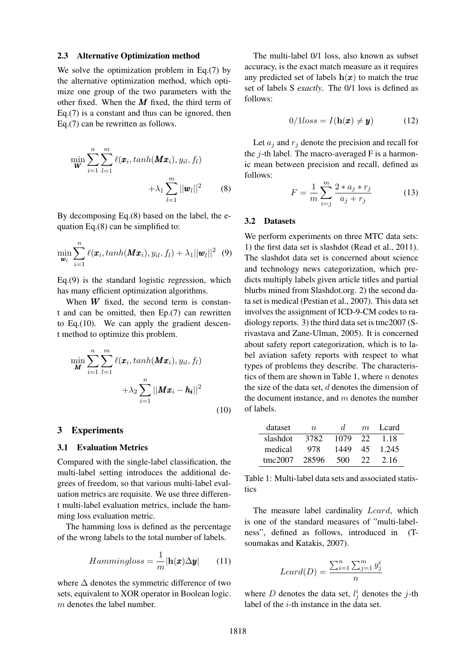#### 2.3 Alternative Optimization method

We solve the optimization problem in Eq.(7) by the alternative optimization method, which optimize one group of the two parameters with the other fixed. When the  $M$  fixed, the third term of Eq.(7) is a constant and thus can be ignored, then Eq.(7) can be rewritten as follows.

$$
\min_{\boldsymbol{W}} \sum_{i=1}^{n} \sum_{l=1}^{m} \ell(\boldsymbol{x}_i, \tanh(\boldsymbol{M}\boldsymbol{x}_i), y_{il}, f_l) + \lambda_1 \sum_{l=1}^{m} ||\boldsymbol{w}_l||^2 \qquad (8)
$$

By decomposing Eq.(8) based on the label, the equation Eq.(8) can be simplified to:

$$
\min_{\boldsymbol{w}_l} \sum_{i=1}^n \ell(\boldsymbol{x}_i, \tanh(\boldsymbol{M}\boldsymbol{x}_i), y_{il}, f_l) + \lambda_1 ||\boldsymbol{w}_l||^2 \hspace{2mm}(9)
$$

Eq.(9) is the standard logistic regression, which has many efficient optimization algorithms.

When  $W$  fixed, the second term is constant and can be omitted, then Ep.(7) can rewritten to Eq.(10). We can apply the gradient descent method to optimize this problem.

$$
\min_{\boldsymbol{M}} \sum_{i=1}^{n} \sum_{l=1}^{m} \ell(\boldsymbol{x}_i, \tanh(\boldsymbol{M}\boldsymbol{x}_i), y_{il}, f_l) + \lambda_2 \sum_{i=1}^{n} ||\boldsymbol{M}\boldsymbol{x}_i - \boldsymbol{h_i}||^2
$$
\n(10)

## 3 Experiments

#### 3.1 Evaluation Metrics

Compared with the single-label classification, the multi-label setting introduces the additional degrees of freedom, so that various multi-label evaluation metrics are requisite. We use three different multi-label evaluation metrics, include the hamming loss evaluation metric.

The hamming loss is defined as the percentage of the wrong labels to the total number of labels.

$$
Hammingloss = \frac{1}{m} |\mathbf{h}(\boldsymbol{x}) \Delta \boldsymbol{y}| \qquad (11)
$$

where  $\Delta$  denotes the symmetric difference of two sets, equivalent to XOR operator in Boolean logic. m denotes the label number.

The multi-label 0/1 loss, also known as subset accuracy, is the exact match measure as it requires any predicted set of labels  $h(x)$  to match the true set of labels S *exactly*. The 0/1 loss is defined as follows:

$$
0/1loss = I(\mathbf{h}(\boldsymbol{x}) \neq \boldsymbol{y}) \tag{12}
$$

Let  $a_i$  and  $r_i$  denote the precision and recall for the  $i$ -th label. The macro-averaged F is a harmonic mean between precision and recall, defined as follows:

$$
F = \frac{1}{m} \sum_{i=j}^{m} \frac{2 * a_j * r_j}{a_j + r_j}
$$
(13)

## 3.2 Datasets

We perform experiments on three MTC data sets: 1) the first data set is slashdot (Read et al., 2011). The slashdot data set is concerned about science and technology news categorization, which predicts multiply labels given article titles and partial blurbs mined from Slashdot.org. 2) the second data set is medical (Pestian et al., 2007). This data set involves the assignment of ICD-9-CM codes to radiology reports. 3) the third data set is tmc2007 (Srivastava and Zane-Ulman, 2005). It is concerned about safety report categorization, which is to label aviation safety reports with respect to what types of problems they describe. The characteristics of them are shown in Table 1, where  $n$  denotes the size of the data set,  $d$  denotes the dimension of the document instance, and  $m$  denotes the number of labels.

| dataset  | $n_{\rm}$ | d.   | $m_{\cdot}$ | L card |
|----------|-----------|------|-------------|--------|
| slashdot | 3782      | 1079 | 22          | 1.18   |
| medical  | 978       | 1449 | 45          | 1.245  |
| tmc2007  | 28596     | 500  | 22          | 2.16   |

Table 1: Multi-label data sets and associated statistics

The measure label cardinality Lcard, which is one of the standard measures of "multi-labelness", defined as follows, introduced in (Tsoumakas and Katakis, 2007).

$$
Lcard(D) = \frac{\sum_{i=1}^{n} \sum_{j=1}^{m} y_j^i}{n}
$$

where D denotes the data set,  $l_j^i$  denotes the j-th label of the  $i$ -th instance in the data set.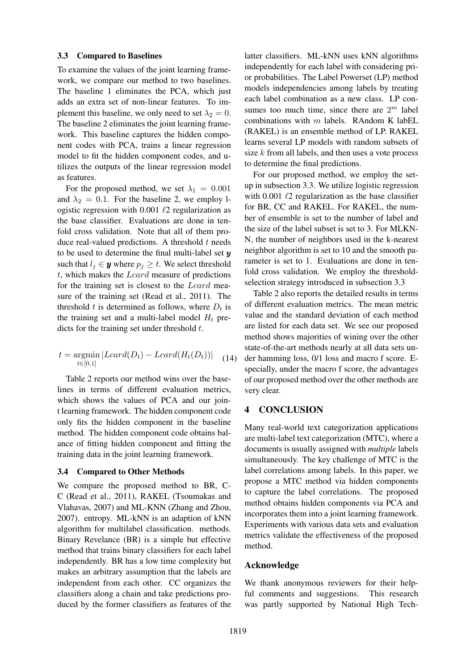#### 3.3 Compared to Baselines

To examine the values of the joint learning framework, we compare our method to two baselines. The baseline 1 eliminates the PCA, which just adds an extra set of non-linear features. To implement this baseline, we only need to set  $\lambda_2 = 0$ . The baseline 2 eliminates the joint learning framework. This baseline captures the hidden component codes with PCA, trains a linear regression model to fit the hidden component codes, and utilizes the outputs of the linear regression model as features.

For the proposed method, we set  $\lambda_1 = 0.001$ and  $\lambda_2 = 0.1$ . For the baseline 2, we employ logistic regression with 0.001  $\ell$ 2 regularization as the base classifier. Evaluations are done in tenfold cross validation. Note that all of them produce real-valued predictions. A threshold  $t$  needs to be used to determine the final multi-label set  $y$ such that  $l_j \in \mathbf{y}$  where  $p_j \geq t$ . We select threshold  $t$ , which makes the  $Lcard$  measure of predictions for the training set is closest to the Lcard measure of the training set (Read et al., 2011). The threshold t is determined as follows, where  $D_t$  is the training set and a multi-label model  $H_t$  predicts for the training set under threshold  $t$ .

$$
t = \underset{t \in [0,1]}{\operatorname{argmin}} |Lcard(D_t) - Lcard(H_t(D_t))| \quad (14)
$$

Table 2 reports our method wins over the baselines in terms of different evaluation metrics, which shows the values of PCA and our joint learning framework. The hidden component code only fits the hidden component in the baseline method. The hidden component code obtains balance of fitting hidden component and fitting the training data in the joint learning framework.

#### 3.4 Compared to Other Methods

We compare the proposed method to BR, C-C (Read et al., 2011), RAKEL (Tsoumakas and Vlahavas, 2007) and ML-KNN (Zhang and Zhou, 2007). entropy. ML-kNN is an adaption of kNN algorithm for multilabel classification. methods. Binary Revelance (BR) is a simple but effective method that trains binary classifiers for each label independently. BR has a low time complexity but makes an arbitrary assumption that the labels are independent from each other. CC organizes the classifiers along a chain and take predictions produced by the former classifiers as features of the

latter classifiers. ML-kNN uses kNN algorithms independently for each label with considering prior probabilities. The Label Powerset (LP) method models independencies among labels by treating each label combination as a new class. LP consumes too much time, since there are  $2^m$  label combinations with  $m$  labels. RAndom K labEL (RAKEL) is an ensemble method of LP. RAKEL learns several LP models with random subsets of size  $k$  from all labels, and then uses a vote process to determine the final predictions.

For our proposed method, we employ the setup in subsection 3.3. We utilize logistic regression with 0.001  $\ell$ 2 regularization as the base classifier for BR, CC and RAKEL. For RAKEL, the number of ensemble is set to the number of label and the size of the label subset is set to 3. For MLKN-N, the number of neighbors used in the k-nearest neighbor algorithm is set to 10 and the smooth parameter is set to 1. Evaluations are done in tenfold cross validation. We employ the thresholdselection strategy introduced in subsection 3.3

Table 2 also reports the detailed results in terms of different evaluation metrics. The mean metric value and the standard deviation of each method are listed for each data set. We see our proposed method shows majorities of wining over the other state-of-the-art methods nearly at all data sets under hamming loss, 0/1 loss and macro f score. Especially, under the macro f score, the advantages of our proposed method over the other methods are very clear.

## 4 CONCLUSION

Many real-world text categorization applications are multi-label text categorization (MTC), where a documents is usually assigned with *multiple* labels simultaneously. The key challenge of MTC is the label correlations among labels. In this paper, we propose a MTC method via hidden components to capture the label correlations. The proposed method obtains hidden components via PCA and incorporates them into a joint learning framework. Experiments with various data sets and evaluation metrics validate the effectiveness of the proposed method.

#### Acknowledge

We thank anonymous reviewers for their helpful comments and suggestions. This research was partly supported by National High Tech-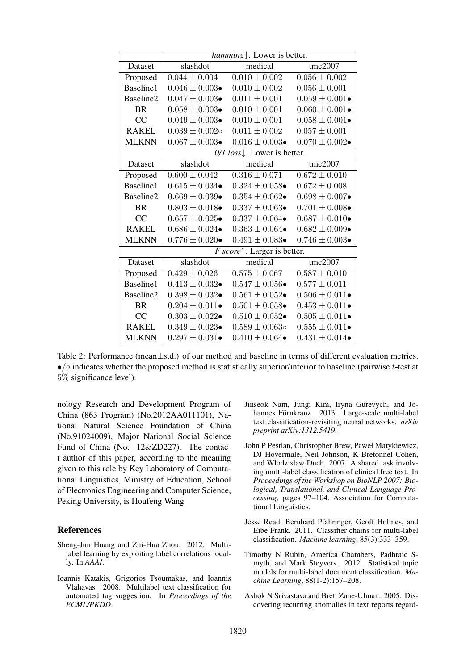|              | hamming $\downarrow$ . Lower is better.                      |                           |                           |  |  |
|--------------|--------------------------------------------------------------|---------------------------|---------------------------|--|--|
| Dataset      | slashdot                                                     | medical                   | tmc2007                   |  |  |
| Proposed     | $0.044 \pm 0.004$                                            | $0.010 \pm 0.002$         | $0.056 \pm 0.002$         |  |  |
| Baseline1    | $0.046 \pm 0.003 \bullet$                                    | $0.010 \pm 0.002$         | $0.056 \pm 0.001$         |  |  |
| Baseline2    | $0.047 \pm 0.003 \bullet$                                    | $0.011 \pm 0.001$         | $0.059 \pm 0.001 \bullet$ |  |  |
| <b>BR</b>    | $0.058 \pm 0.003 \bullet$                                    | $0.010 \pm 0.001$         | $0.060 \pm 0.001 \bullet$ |  |  |
| CC           | $0.049 \pm 0.003 \bullet$                                    | $0.010 \pm 0.001$         | $0.058 \pm 0.001 \bullet$ |  |  |
| <b>RAKEL</b> | $0.039 \pm 0.002$ o                                          | $0.011 \pm 0.002$         | $0.057 \pm 0.001$         |  |  |
| <b>MLKNN</b> | $0.067 \pm 0.003 \bullet$                                    | $0.016 \pm 0.003 \bullet$ | $0.070 \pm 0.002 \bullet$ |  |  |
|              | 0/1 loss . Lower is better.                                  |                           |                           |  |  |
| Dataset      | slashdot                                                     | medical                   | tmc2007                   |  |  |
| Proposed     | $0.600 \pm 0.042$                                            | $0.316 \pm 0.071$         | $0.672 \pm 0.010$         |  |  |
| Baseline1    | $0.615 \pm 0.034 \bullet$                                    | $0.324 \pm 0.058 \bullet$ | $0.672 \pm 0.008$         |  |  |
| Baseline2    | $0.669 \pm 0.039 \bullet$                                    | $0.354 \pm 0.062 \bullet$ | $0.698 \pm 0.007 \bullet$ |  |  |
| <b>BR</b>    | $0.803 \pm 0.018 \bullet$                                    | $0.337 \pm 0.063 \bullet$ | $0.701 \pm 0.008 \bullet$ |  |  |
| CC           | $0.657 \pm 0.025 \bullet$                                    | $0.337 \pm 0.064 \bullet$ | $0.687 \pm 0.010 \bullet$ |  |  |
| <b>RAKEL</b> | $0.686 \pm 0.024 \bullet$                                    | $0.363 \pm 0.064 \bullet$ | $0.682 \pm 0.009 \bullet$ |  |  |
| <b>MLKNN</b> | $0.776 \pm 0.020 \bullet$                                    | $0.491 \pm 0.083 \bullet$ | $0.746 \pm 0.003 \bullet$ |  |  |
|              | F score <sup><math>\uparrow</math></sup> . Larger is better. |                           |                           |  |  |
| Dataset      | slashdot                                                     | medical                   | tmc2007                   |  |  |
| Proposed     | $0.429 \pm 0.026$                                            | $0.575\pm0.067$           | $0.587 \pm 0.010$         |  |  |
| Baseline1    | $0.413 \pm 0.032 \bullet$                                    | $0.547 \pm 0.056 \bullet$ | $0.577 \pm 0.011$         |  |  |
| Baseline2    | $0.398 \pm 0.032 \bullet$                                    | $0.561 \pm 0.052 \bullet$ | $0.506 \pm 0.011 \bullet$ |  |  |
| <b>BR</b>    | $0.204 \pm 0.011 \bullet$                                    | $0.501 \pm 0.058 \bullet$ | $0.453 \pm 0.011$         |  |  |
| CC           | $0.303 \pm 0.022 \bullet$                                    | $0.510 \pm 0.052 \bullet$ | $0.505 \pm 0.011 \bullet$ |  |  |
| <b>RAKEL</b> | $0.349 \pm 0.023 \bullet$                                    | $0.589 \pm 0.063$ o       | $0.555 \pm 0.011 \bullet$ |  |  |
| <b>MLKNN</b> | $0.297 \pm 0.031 \bullet$                                    | $0.410 \pm 0.064 \bullet$ | $0.431 \pm 0.014$         |  |  |

Table 2: Performance (mean±std.) of our method and baseline in terms of different evaluation metrics. •/◦ indicates whether the proposed method is statistically superior/inferior to baseline (pairwise t-test at 5% significance level).

nology Research and Development Program of China (863 Program) (No.2012AA011101), National Natural Science Foundation of China (No.91024009), Major National Social Science Fund of China (No. 12&ZD227). The contact author of this paper, according to the meaning given to this role by Key Laboratory of Computational Linguistics, Ministry of Education, School of Electronics Engineering and Computer Science, Peking University, is Houfeng Wang

## References

- Sheng-Jun Huang and Zhi-Hua Zhou. 2012. Multilabel learning by exploiting label correlations locally. In *AAAI*.
- Ioannis Katakis, Grigorios Tsoumakas, and Ioannis Vlahavas. 2008. Multilabel text classification for automated tag suggestion. In *Proceedings of the ECML/PKDD*.
- Jinseok Nam, Jungi Kim, Iryna Gurevych, and Johannes Fürnkranz. 2013. Large-scale multi-label text classification-revisiting neural networks. *arXiv preprint arXiv:1312.5419*.
- John P Pestian, Christopher Brew, Paweł Matykiewicz, DJ Hovermale, Neil Johnson, K Bretonnel Cohen, and Włodzisław Duch. 2007. A shared task involving multi-label classification of clinical free text. In *Proceedings of the Workshop on BioNLP 2007: Biological, Translational, and Clinical Language Processing*, pages 97–104. Association for Computational Linguistics.
- Jesse Read, Bernhard Pfahringer, Geoff Holmes, and Eibe Frank. 2011. Classifier chains for multi-label classification. *Machine learning*, 85(3):333–359.
- Timothy N Rubin, America Chambers, Padhraic Smyth, and Mark Steyvers. 2012. Statistical topic models for multi-label document classification. *Machine Learning*, 88(1-2):157–208.
- Ashok N Srivastava and Brett Zane-Ulman. 2005. Discovering recurring anomalies in text reports regard-